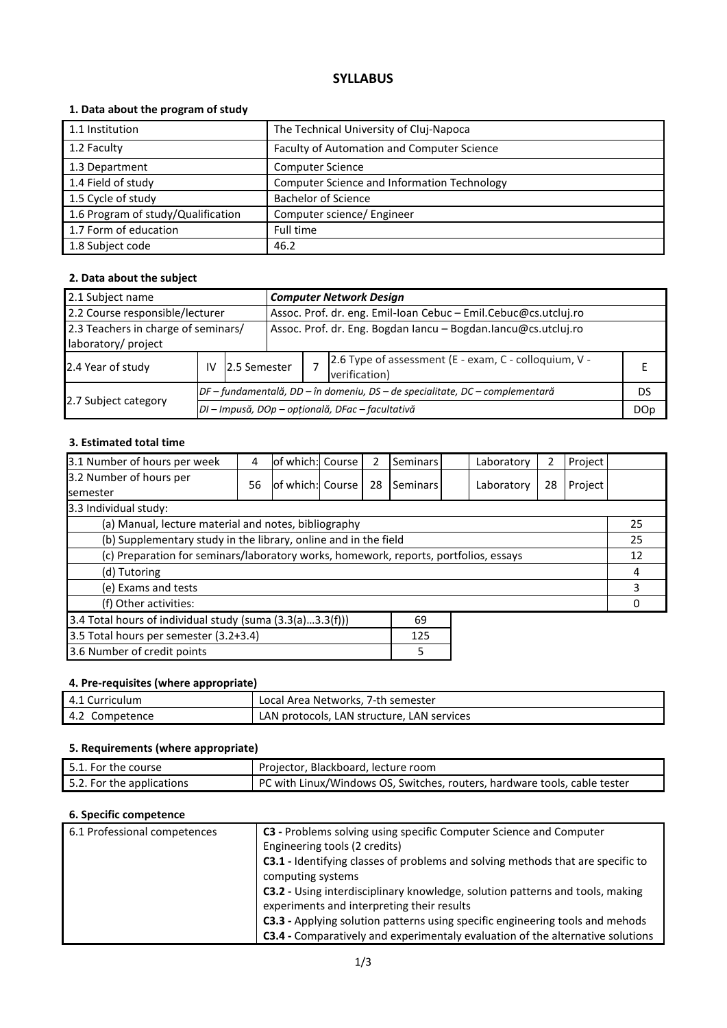## **SYLLABUS**

### **1. Data about the program of study**

| 1.1 Institution                    | The Technical University of Cluj-Napoca     |
|------------------------------------|---------------------------------------------|
| 1.2 Faculty                        | Faculty of Automation and Computer Science  |
| 1.3 Department                     | <b>Computer Science</b>                     |
| 1.4 Field of study                 | Computer Science and Information Technology |
| 1.5 Cycle of study                 | <b>Bachelor of Science</b>                  |
| 1.6 Program of study/Qualification | Computer science/ Engineer                  |
| 1.7 Form of education              | Full time                                   |
| 1.8 Subject code                   | 46.2                                        |

### **2. Data about the subject**

| 2.1 Subject name                                           |    |                                                                              | <b>Computer Network Design</b>                                  |  |                                                                        |  |  |
|------------------------------------------------------------|----|------------------------------------------------------------------------------|-----------------------------------------------------------------|--|------------------------------------------------------------------------|--|--|
| 2.2 Course responsible/lecturer                            |    |                                                                              | Assoc. Prof. dr. eng. Emil-Ioan Cebuc - Emil.Cebuc@cs.utcluj.ro |  |                                                                        |  |  |
| 2.3 Teachers in charge of seminars/<br>laboratory/ project |    |                                                                              | Assoc. Prof. dr. Eng. Bogdan Iancu - Bogdan.Iancu@cs.utcluj.ro  |  |                                                                        |  |  |
| 2.4 Year of study                                          | IV | 2.5 Semester                                                                 |                                                                 |  | 2.6 Type of assessment (E - exam, C - colloquium, V -<br>verification) |  |  |
|                                                            |    | DF – fundamentală, DD – în domeniu, DS – de specialitate, DC – complementară |                                                                 |  | DS                                                                     |  |  |
| 2.7 Subject category                                       |    | DI - Impusă, DOp - opțională, DFac - facultativă                             |                                                                 |  |                                                                        |  |  |

#### **3. Estimated total time**

| 3.1 Number of hours per week                                                         | 4  | of which: Course |  | 2  | Seminars |  | Laboratory | 2  | Project |  |
|--------------------------------------------------------------------------------------|----|------------------|--|----|----------|--|------------|----|---------|--|
| 3.2 Number of hours per<br><b>semester</b>                                           | 56 | of which: Course |  | 28 | Seminars |  | Laboratory | 28 | Project |  |
| 3.3 Individual study:                                                                |    |                  |  |    |          |  |            |    |         |  |
| (a) Manual, lecture material and notes, bibliography                                 |    |                  |  |    |          |  |            | 25 |         |  |
| (b) Supplementary study in the library, online and in the field                      |    |                  |  |    |          |  | 25         |    |         |  |
| (c) Preparation for seminars/laboratory works, homework, reports, portfolios, essays |    |                  |  |    |          |  | 12         |    |         |  |
| (d) Tutoring                                                                         |    |                  |  |    |          |  |            | 4  |         |  |
| (e) Exams and tests                                                                  |    |                  |  |    |          |  |            | 3  |         |  |
| (f) Other activities:                                                                |    |                  |  |    |          |  |            |    |         |  |
| 3.4 Total hours of individual study (suma (3.3(a)3.3(f)))<br>69                      |    |                  |  |    |          |  |            |    |         |  |
| 3.5 Total hours per semester (3.2+3.4)<br>125                                        |    |                  |  |    |          |  |            |    |         |  |
| 3.6 Number of credit points<br>5                                                     |    |                  |  |    |          |  |            |    |         |  |

### **4. Pre-requisites (where appropriate)**

| 4.1 Curriculum | Local Area Networks, 7-th semester         |
|----------------|--------------------------------------------|
| 4.2 Competence | LAN protocols, LAN structure, LAN services |

### **5. Requirements (where appropriate)**

| 5.1. For the course       | Projector, Blackboard, lecture room                                       |
|---------------------------|---------------------------------------------------------------------------|
| 5.2. For the applications | PC with Linux/Windows OS, Switches, routers, hardware tools, cable tester |

#### **6. Specific competence**

| 6.1 Professional competences | C3 - Problems solving using specific Computer Science and Computer              |
|------------------------------|---------------------------------------------------------------------------------|
|                              | Engineering tools (2 credits)                                                   |
|                              | C3.1 - Identifying classes of problems and solving methods that are specific to |
|                              | computing systems                                                               |
|                              | C3.2 - Using interdisciplinary knowledge, solution patterns and tools, making   |
|                              | experiments and interpreting their results                                      |
|                              | C3.3 - Applying solution patterns using specific engineering tools and mehods   |
|                              | C3.4 - Comparatively and experimentaly evaluation of the alternative solutions  |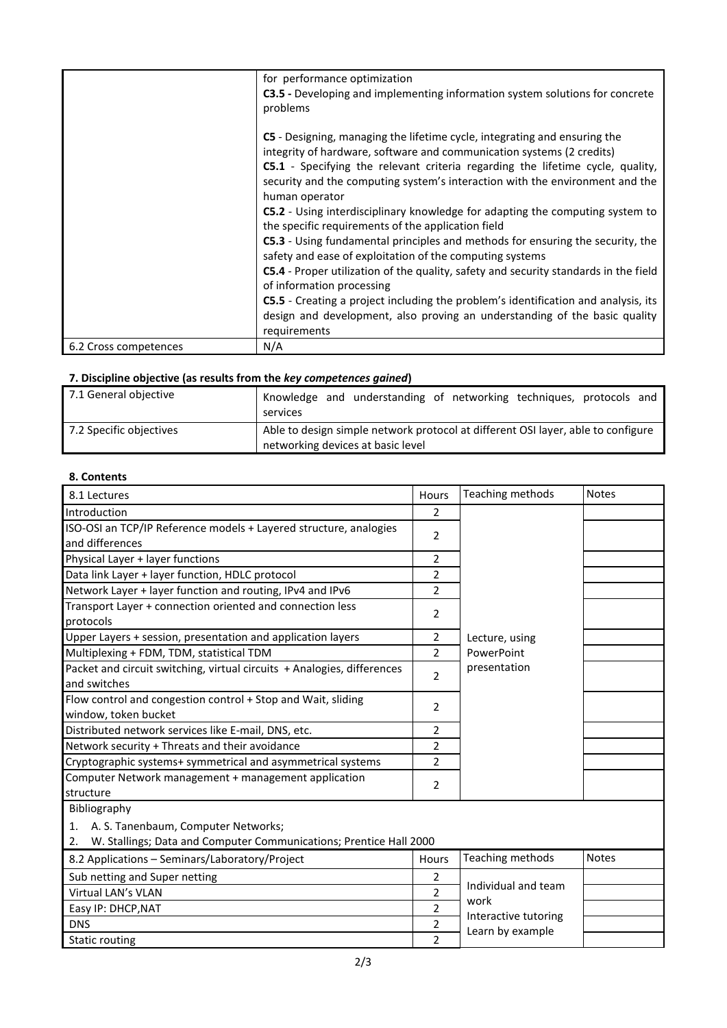|                       | for performance optimization<br><b>C3.5</b> - Developing and implementing information system solutions for concrete<br>problems                                                                                                                                                                                                                                                                                                                                                                                                                                               |
|-----------------------|-------------------------------------------------------------------------------------------------------------------------------------------------------------------------------------------------------------------------------------------------------------------------------------------------------------------------------------------------------------------------------------------------------------------------------------------------------------------------------------------------------------------------------------------------------------------------------|
|                       | C5 - Designing, managing the lifetime cycle, integrating and ensuring the<br>integrity of hardware, software and communication systems (2 credits)<br>C5.1 - Specifying the relevant criteria regarding the lifetime cycle, quality,<br>security and the computing system's interaction with the environment and the<br>human operator<br><b>C5.2</b> - Using interdisciplinary knowledge for adapting the computing system to<br>the specific requirements of the application field<br><b>C5.3</b> - Using fundamental principles and methods for ensuring the security, the |
|                       | safety and ease of exploitation of the computing systems<br><b>C5.4</b> - Proper utilization of the quality, safety and security standards in the field                                                                                                                                                                                                                                                                                                                                                                                                                       |
|                       | of information processing                                                                                                                                                                                                                                                                                                                                                                                                                                                                                                                                                     |
|                       | C5.5 - Creating a project including the problem's identification and analysis, its<br>design and development, also proving an understanding of the basic quality<br>requirements                                                                                                                                                                                                                                                                                                                                                                                              |
| 6.2 Cross competences | N/A                                                                                                                                                                                                                                                                                                                                                                                                                                                                                                                                                                           |

# **7. Discipline objective (as results from the** *key competences gained***)**

| 7.1 General objective   | Knowledge and understanding of networking techniques, protocols and<br>services                                       |
|-------------------------|-----------------------------------------------------------------------------------------------------------------------|
| 7.2 Specific objectives | Able to design simple network protocol at different OSI layer, able to configure<br>networking devices at basic level |

## **8. Contents**

| 8.1 Lectures                                                                                                                      | Hours          | Teaching methods                         | <b>Notes</b> |
|-----------------------------------------------------------------------------------------------------------------------------------|----------------|------------------------------------------|--------------|
| Introduction                                                                                                                      | 2              |                                          |              |
| ISO-OSI an TCP/IP Reference models + Layered structure, analogies<br>and differences                                              | 2              |                                          |              |
| Physical Layer + layer functions                                                                                                  | $\overline{2}$ |                                          |              |
| Data link Layer + layer function, HDLC protocol                                                                                   | $\overline{2}$ |                                          |              |
| Network Layer + layer function and routing, IPv4 and IPv6                                                                         | $\overline{2}$ |                                          |              |
| Transport Layer + connection oriented and connection less<br>protocols                                                            | $\overline{2}$ |                                          |              |
| Upper Layers + session, presentation and application layers                                                                       | 2              | Lecture, using                           |              |
| Multiplexing + FDM, TDM, statistical TDM                                                                                          | $\overline{2}$ | PowerPoint                               |              |
| Packet and circuit switching, virtual circuits + Analogies, differences<br>and switches                                           | $\overline{2}$ | presentation                             |              |
| Flow control and congestion control + Stop and Wait, sliding<br>window, token bucket                                              | 2              |                                          |              |
| Distributed network services like E-mail, DNS, etc.                                                                               | $\overline{2}$ |                                          |              |
| Network security + Threats and their avoidance                                                                                    | $\overline{2}$ |                                          |              |
| Cryptographic systems+ symmetrical and asymmetrical systems                                                                       | $\overline{2}$ |                                          |              |
| Computer Network management + management application<br>structure                                                                 | 2              |                                          |              |
| Bibliography                                                                                                                      |                |                                          |              |
| A. S. Tanenbaum, Computer Networks;<br>$\mathbf{1}$ .<br>W. Stallings; Data and Computer Communications; Prentice Hall 2000<br>2. |                |                                          |              |
| 8.2 Applications - Seminars/Laboratory/Project                                                                                    | <b>Hours</b>   | Teaching methods                         | <b>Notes</b> |
| Sub netting and Super netting                                                                                                     | $\overline{2}$ |                                          |              |
| Virtual LAN's VLAN                                                                                                                | 2              | Individual and team                      |              |
| Easy IP: DHCP, NAT                                                                                                                | $\overline{2}$ | work                                     |              |
| <b>DNS</b>                                                                                                                        | 2              | Interactive tutoring<br>Learn by example |              |
| <b>Static routing</b>                                                                                                             | $\overline{2}$ |                                          |              |